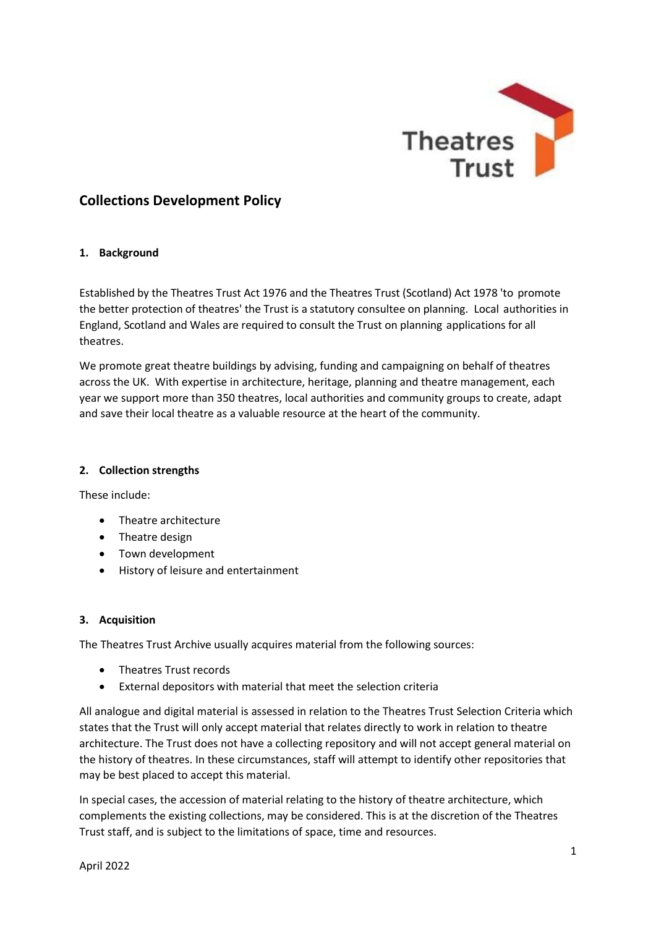

# **Collections Development Policy**

### **1. Background**

Established by the Theatres Trust Act 1976 and the Theatres Trust (Scotland) Act 1978 'to promote the better protection of theatres' the Trust is a statutory consultee on planning. Local authorities in England, Scotland and Wales are required to consult the Trust on planning applications for all theatres.

We promote great theatre buildings by advising, funding and campaigning on behalf of theatres across the UK. With expertise in architecture, heritage, planning and theatre management, each year we support more than 350 theatres, local authorities and community groups to create, adapt and save their local theatre as a valuable resource at the heart of the community.

### **2. Collection strengths**

These include:

- Theatre architecture
- Theatre design
- Town development
- History of leisure and entertainment

# **3. Acquisition**

The Theatres Trust Archive usually acquires material from the following sources:

- Theatres Trust records
- External depositors with material that meet the selection criteria

All analogue and digital material is assessed in relation to the Theatres Trust Selection Criteria which states that the Trust will only accept material that relates directly to work in relation to theatre architecture. The Trust does not have a collecting repository and will not accept general material on the history of theatres. In these circumstances, staff will attempt to identify other repositories that may be best placed to accept this material.

In special cases, the accession of material relating to the history of theatre architecture, which complements the existing collections, may be considered. This is at the discretion of the Theatres Trust staff, and is subject to the limitations of space, time and resources.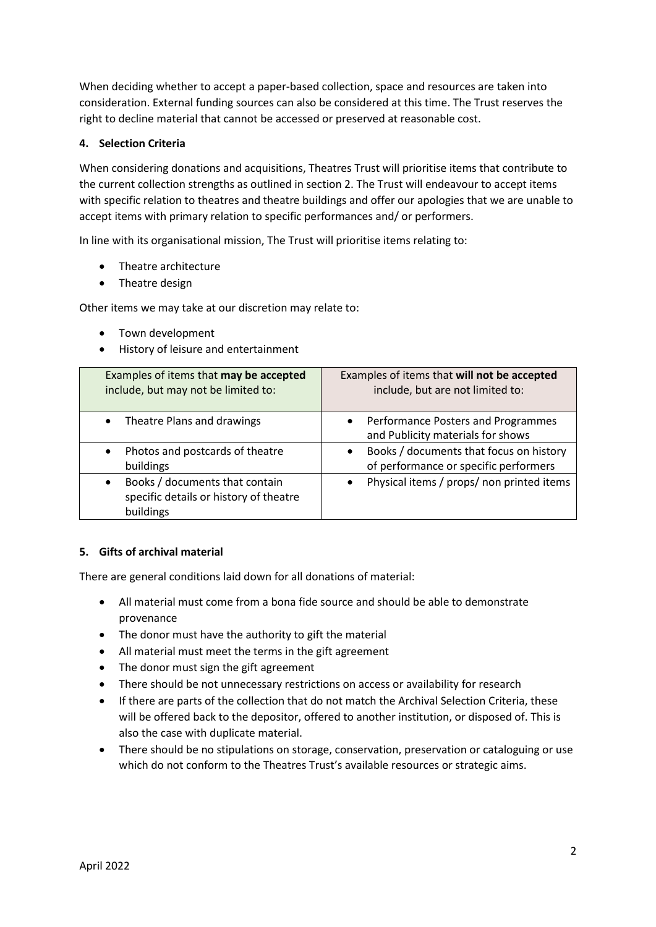When deciding whether to accept a paper-based collection, space and resources are taken into consideration. External funding sources can also be considered at this time. The Trust reserves the right to decline material that cannot be accessed or preserved at reasonable cost.

# **4. Selection Criteria**

When considering donations and acquisitions, Theatres Trust will prioritise items that contribute to the current collection strengths as outlined in section 2. The Trust will endeavour to accept items with specific relation to theatres and theatre buildings and offer our apologies that we are unable to accept items with primary relation to specific performances and/ or performers.

In line with its organisational mission, The Trust will prioritise items relating to:

- Theatre architecture
- Theatre design

Other items we may take at our discretion may relate to:

- Town development
- History of leisure and entertainment

| Examples of items that may be accepted<br>include, but may not be limited to:         | Examples of items that will not be accepted<br>include, but are not limited to:               |
|---------------------------------------------------------------------------------------|-----------------------------------------------------------------------------------------------|
| Theatre Plans and drawings<br>$\bullet$                                               | Performance Posters and Programmes<br>$\bullet$<br>and Publicity materials for shows          |
| Photos and postcards of theatre<br>buildings                                          | Books / documents that focus on history<br>$\bullet$<br>of performance or specific performers |
| Books / documents that contain<br>specific details or history of theatre<br>buildings | Physical items / props/ non printed items<br>$\bullet$                                        |

#### **5. Gifts of archival material**

There are general conditions laid down for all donations of material:

- All material must come from a bona fide source and should be able to demonstrate provenance
- The donor must have the authority to gift the material
- All material must meet the terms in the gift agreement
- The donor must sign the gift agreement
- There should be not unnecessary restrictions on access or availability for research
- If there are parts of the collection that do not match the Archival Selection Criteria, these will be offered back to the depositor, offered to another institution, or disposed of. This is also the case with duplicate material.
- There should be no stipulations on storage, conservation, preservation or cataloguing or use which do not conform to the Theatres Trust's available resources or strategic aims.